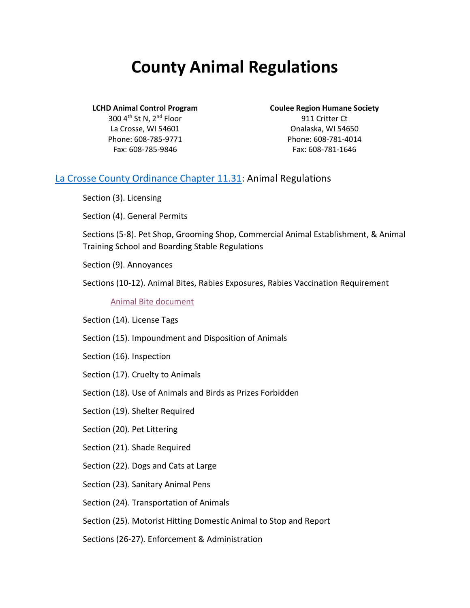# **County Animal Regulations**

300 4th St N, 2nd Floor La Crosse, WI 54601 Phone: 608-785-9771 Fax: 608-785-9846

**LCHD Animal Control Program Coulee Region Humane Society**

911 Critter Ct Onalaska, WI 54650 Phone: 608-781-4014 Fax: 608-781-1646

### [La Crosse County Ordinance Chapter 11.31:](https://lacrossecounty.org/Code/pdf/Chapter%2011%20Public%20Health%20and%20Welfare.pdf) Animal Regulations

Section (3). Licensing

Section (4). General Permits

Sections (5-8). Pet Shop, Grooming Shop, Commercial Animal Establishment, & Animal Training School and Boarding Stable Regulations

Section (9). Annoyances

Sections (10-12). Animal Bites, Rabies Exposures, Rabies Vaccination Requirement

[Animal Bite document](https://www.lacrossecounty.org/health/docs/InYourCommunity/Dog-Cat%20Bites.pdf)

Section (14). License Tags

- Section (15). Impoundment and Disposition of Animals
- Section (16). Inspection
- Section (17). Cruelty to Animals
- Section (18). Use of Animals and Birds as Prizes Forbidden
- Section (19). Shelter Required
- Section (20). Pet Littering
- Section (21). Shade Required
- Section (22). Dogs and Cats at Large
- Section (23). Sanitary Animal Pens
- Section (24). Transportation of Animals
- Section (25). Motorist Hitting Domestic Animal to Stop and Report

Sections (26-27). Enforcement & Administration